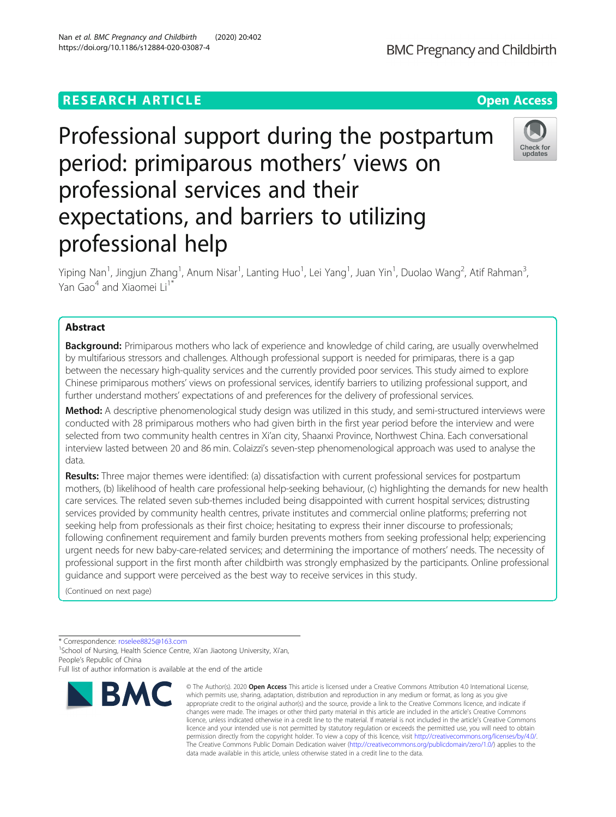# **RESEARCH ARTICLE Example 2014 12:30 The Contract of Contract ACCESS**

expectations, and barriers to utilizing professional help

Professional support during the postpartum

period: primiparous mothers' views on

professional services and their

Yiping Nan<sup>1</sup>, Jingjun Zhang<sup>1</sup>, Anum Nisar<sup>1</sup>, Lanting Huo<sup>1</sup>, Lei Yang<sup>1</sup>, Juan Yin<sup>1</sup>, Duolao Wang<sup>2</sup>, Atif Rahman<sup>3</sup> , Yan Gao<sup>4</sup> and Xiaomei Li<sup>11</sup>

# Abstract

**Background:** Primiparous mothers who lack of experience and knowledge of child caring, are usually overwhelmed by multifarious stressors and challenges. Although professional support is needed for primiparas, there is a gap between the necessary high-quality services and the currently provided poor services. This study aimed to explore Chinese primiparous mothers' views on professional services, identify barriers to utilizing professional support, and further understand mothers' expectations of and preferences for the delivery of professional services.

Method: A descriptive phenomenological study design was utilized in this study, and semi-structured interviews were conducted with 28 primiparous mothers who had given birth in the first year period before the interview and were selected from two community health centres in Xi'an city, Shaanxi Province, Northwest China. Each conversational interview lasted between 20 and 86 min. Colaizzi's seven-step phenomenological approach was used to analyse the data.

Results: Three major themes were identified: (a) dissatisfaction with current professional services for postpartum mothers, (b) likelihood of health care professional help-seeking behaviour, (c) highlighting the demands for new health care services. The related seven sub-themes included being disappointed with current hospital services; distrusting services provided by community health centres, private institutes and commercial online platforms; preferring not seeking help from professionals as their first choice; hesitating to express their inner discourse to professionals; following confinement requirement and family burden prevents mothers from seeking professional help; experiencing urgent needs for new baby-care-related services; and determining the importance of mothers' needs. The necessity of professional support in the first month after childbirth was strongly emphasized by the participants. Online professional guidance and support were perceived as the best way to receive services in this study.

> © The Author(s), 2020 **Open Access** This article is licensed under a Creative Commons Attribution 4.0 International License, which permits use, sharing, adaptation, distribution and reproduction in any medium or format, as long as you give

(Continued on next page)

\* Correspondence: [roselee8825@163.com](mailto:roselee8825@163.com) <sup>1</sup>

**BMC** 

<sup>1</sup>School of Nursing, Health Science Centre, Xi'an Jiaotong University, Xi'an, People's Republic of China

Full list of author information is available at the end of the article



data made available in this article, unless otherwise stated in a credit line to the data.



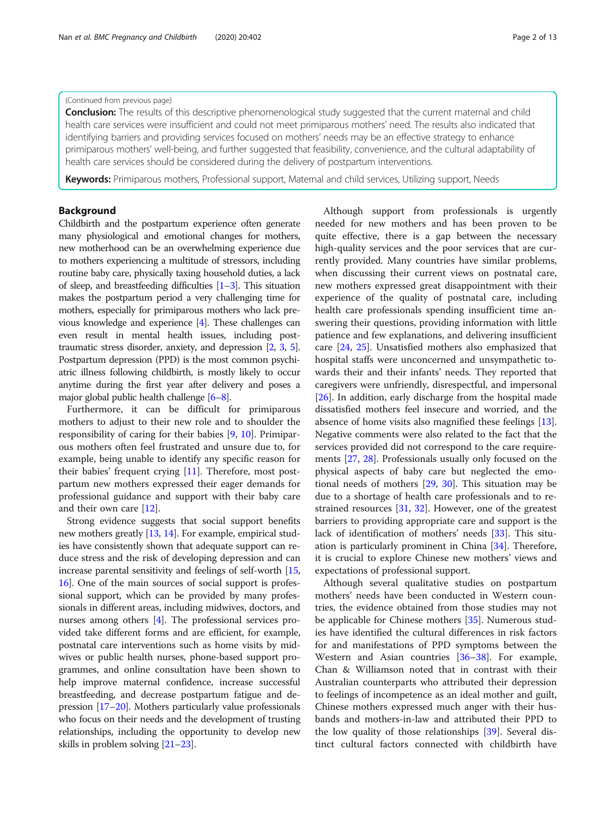### (Continued from previous page)

**Conclusion:** The results of this descriptive phenomenological study suggested that the current maternal and child health care services were insufficient and could not meet primiparous mothers' need. The results also indicated that identifying barriers and providing services focused on mothers' needs may be an effective strategy to enhance primiparous mothers' well-being, and further suggested that feasibility, convenience, and the cultural adaptability of health care services should be considered during the delivery of postpartum interventions.

Keywords: Primiparous mothers, Professional support, Maternal and child services, Utilizing support, Needs

# Background

Childbirth and the postpartum experience often generate many physiological and emotional changes for mothers, new motherhood can be an overwhelming experience due to mothers experiencing a multitude of stressors, including routine baby care, physically taxing household duties, a lack of sleep, and breastfeeding difficulties  $[1-3]$  $[1-3]$  $[1-3]$  $[1-3]$ . This situation makes the postpartum period a very challenging time for mothers, especially for primiparous mothers who lack previous knowledge and experience [[4](#page-10-0)]. These challenges can even result in mental health issues, including posttraumatic stress disorder, anxiety, and depression [\[2,](#page-10-0) [3](#page-10-0), [5](#page-10-0)]. Postpartum depression (PPD) is the most common psychiatric illness following childbirth, is mostly likely to occur anytime during the first year after delivery and poses a major global public health challenge [[6](#page-11-0)–[8\]](#page-11-0).

Furthermore, it can be difficult for primiparous mothers to adjust to their new role and to shoulder the responsibility of caring for their babies [[9,](#page-11-0) [10\]](#page-11-0). Primiparous mothers often feel frustrated and unsure due to, for example, being unable to identify any specific reason for their babies' frequent crying [[11](#page-11-0)]. Therefore, most postpartum new mothers expressed their eager demands for professional guidance and support with their baby care and their own care [\[12\]](#page-11-0).

Strong evidence suggests that social support benefits new mothers greatly [[13,](#page-11-0) [14\]](#page-11-0). For example, empirical studies have consistently shown that adequate support can reduce stress and the risk of developing depression and can increase parental sensitivity and feelings of self-worth [[15](#page-11-0), [16](#page-11-0)]. One of the main sources of social support is professional support, which can be provided by many professionals in different areas, including midwives, doctors, and nurses among others [\[4\]](#page-10-0). The professional services provided take different forms and are efficient, for example, postnatal care interventions such as home visits by midwives or public health nurses, phone-based support programmes, and online consultation have been shown to help improve maternal confidence, increase successful breastfeeding, and decrease postpartum fatigue and depression [\[17](#page-11-0)–[20](#page-11-0)]. Mothers particularly value professionals who focus on their needs and the development of trusting relationships, including the opportunity to develop new skills in problem solving [\[21](#page-11-0)–[23](#page-11-0)].

Although support from professionals is urgently needed for new mothers and has been proven to be quite effective, there is a gap between the necessary high-quality services and the poor services that are currently provided. Many countries have similar problems, when discussing their current views on postnatal care, new mothers expressed great disappointment with their experience of the quality of postnatal care, including health care professionals spending insufficient time answering their questions, providing information with little patience and few explanations, and delivering insufficient care [[24,](#page-11-0) [25\]](#page-11-0). Unsatisfied mothers also emphasized that hospital staffs were unconcerned and unsympathetic towards their and their infants' needs. They reported that caregivers were unfriendly, disrespectful, and impersonal [[26\]](#page-11-0). In addition, early discharge from the hospital made dissatisfied mothers feel insecure and worried, and the absence of home visits also magnified these feelings [\[13](#page-11-0)]. Negative comments were also related to the fact that the services provided did not correspond to the care requirements [[27,](#page-11-0) [28\]](#page-11-0). Professionals usually only focused on the physical aspects of baby care but neglected the emotional needs of mothers [[29](#page-11-0), [30](#page-11-0)]. This situation may be due to a shortage of health care professionals and to restrained resources [[31](#page-11-0), [32\]](#page-11-0). However, one of the greatest barriers to providing appropriate care and support is the lack of identification of mothers' needs [\[33](#page-11-0)]. This situation is particularly prominent in China [\[34](#page-11-0)]. Therefore, it is crucial to explore Chinese new mothers' views and expectations of professional support.

Although several qualitative studies on postpartum mothers' needs have been conducted in Western countries, the evidence obtained from those studies may not be applicable for Chinese mothers [[35](#page-11-0)]. Numerous studies have identified the cultural differences in risk factors for and manifestations of PPD symptoms between the Western and Asian countries [[36](#page-11-0)–[38](#page-11-0)]. For example, Chan & Williamson noted that in contrast with their Australian counterparts who attributed their depression to feelings of incompetence as an ideal mother and guilt, Chinese mothers expressed much anger with their husbands and mothers-in-law and attributed their PPD to the low quality of those relationships [[39\]](#page-11-0). Several distinct cultural factors connected with childbirth have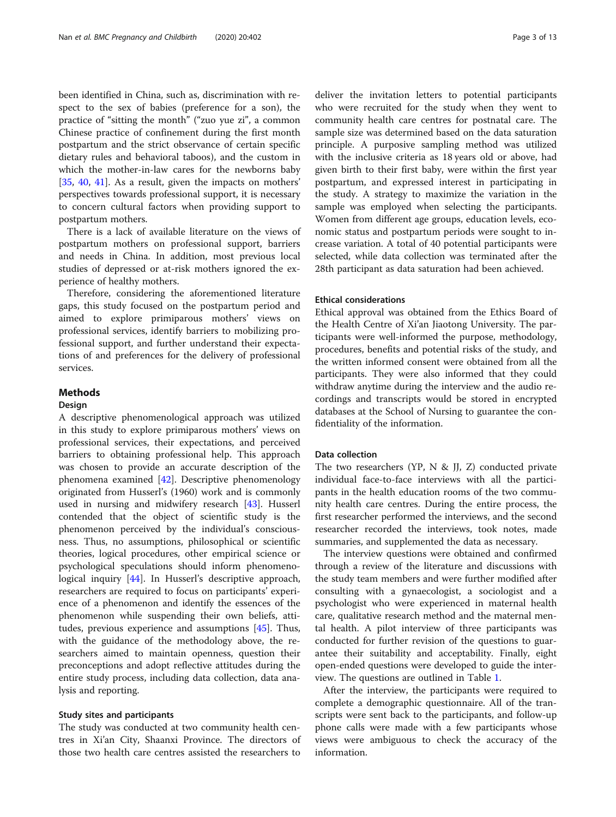been identified in China, such as, discrimination with respect to the sex of babies (preference for a son), the practice of "sitting the month" ("zuo yue zi", a common Chinese practice of confinement during the first month postpartum and the strict observance of certain specific dietary rules and behavioral taboos), and the custom in which the mother-in-law cares for the newborns baby [[35,](#page-11-0) [40,](#page-11-0) [41](#page-11-0)]. As a result, given the impacts on mothers' perspectives towards professional support, it is necessary to concern cultural factors when providing support to postpartum mothers.

There is a lack of available literature on the views of postpartum mothers on professional support, barriers and needs in China. In addition, most previous local studies of depressed or at-risk mothers ignored the experience of healthy mothers.

Therefore, considering the aforementioned literature gaps, this study focused on the postpartum period and aimed to explore primiparous mothers' views on professional services, identify barriers to mobilizing professional support, and further understand their expectations of and preferences for the delivery of professional services.

# Methods

### Design

A descriptive phenomenological approach was utilized in this study to explore primiparous mothers' views on professional services, their expectations, and perceived barriers to obtaining professional help. This approach was chosen to provide an accurate description of the phenomena examined [[42](#page-11-0)]. Descriptive phenomenology originated from Husserl's (1960) work and is commonly used in nursing and midwifery research [[43\]](#page-11-0). Husserl contended that the object of scientific study is the phenomenon perceived by the individual's consciousness. Thus, no assumptions, philosophical or scientific theories, logical procedures, other empirical science or psychological speculations should inform phenomeno-logical inquiry [[44](#page-11-0)]. In Husserl's descriptive approach, researchers are required to focus on participants' experience of a phenomenon and identify the essences of the phenomenon while suspending their own beliefs, attitudes, previous experience and assumptions [\[45](#page-11-0)]. Thus, with the guidance of the methodology above, the researchers aimed to maintain openness, question their preconceptions and adopt reflective attitudes during the entire study process, including data collection, data analysis and reporting.

### Study sites and participants

The study was conducted at two community health centres in Xi'an City, Shaanxi Province. The directors of those two health care centres assisted the researchers to deliver the invitation letters to potential participants who were recruited for the study when they went to community health care centres for postnatal care. The sample size was determined based on the data saturation principle. A purposive sampling method was utilized with the inclusive criteria as 18 years old or above, had given birth to their first baby, were within the first year postpartum, and expressed interest in participating in the study. A strategy to maximize the variation in the sample was employed when selecting the participants. Women from different age groups, education levels, economic status and postpartum periods were sought to increase variation. A total of 40 potential participants were selected, while data collection was terminated after the 28th participant as data saturation had been achieved.

### Ethical considerations

Ethical approval was obtained from the Ethics Board of the Health Centre of Xi'an Jiaotong University. The participants were well-informed the purpose, methodology, procedures, benefits and potential risks of the study, and the written informed consent were obtained from all the participants. They were also informed that they could withdraw anytime during the interview and the audio recordings and transcripts would be stored in encrypted databases at the School of Nursing to guarantee the confidentiality of the information.

### Data collection

The two researchers (YP, N & JJ, Z) conducted private individual face-to-face interviews with all the participants in the health education rooms of the two community health care centres. During the entire process, the first researcher performed the interviews, and the second researcher recorded the interviews, took notes, made summaries, and supplemented the data as necessary.

The interview questions were obtained and confirmed through a review of the literature and discussions with the study team members and were further modified after consulting with a gynaecologist, a sociologist and a psychologist who were experienced in maternal health care, qualitative research method and the maternal mental health. A pilot interview of three participants was conducted for further revision of the questions to guarantee their suitability and acceptability. Finally, eight open-ended questions were developed to guide the interview. The questions are outlined in Table [1.](#page-3-0)

After the interview, the participants were required to complete a demographic questionnaire. All of the transcripts were sent back to the participants, and follow-up phone calls were made with a few participants whose views were ambiguous to check the accuracy of the information.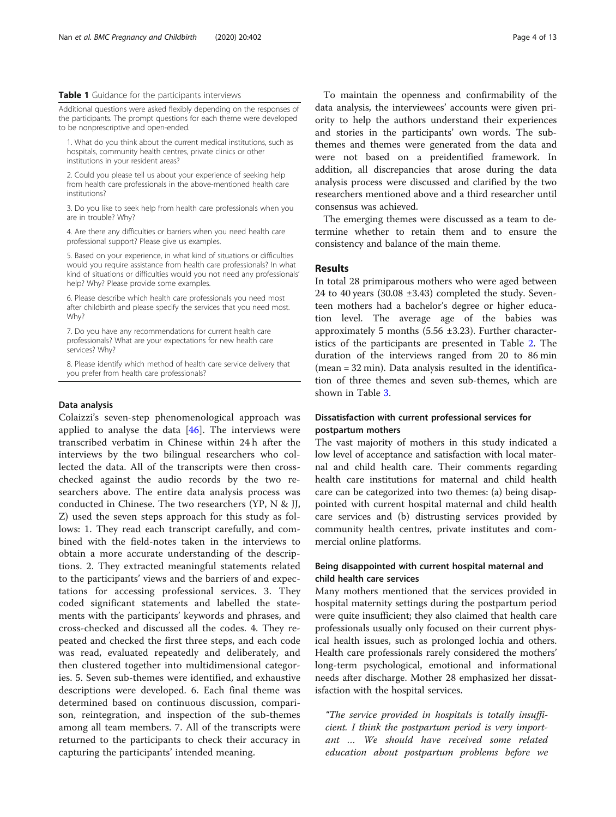#### <span id="page-3-0"></span>Table 1 Guidance for the participants interviews

Additional questions were asked flexibly depending on the responses of the participants. The prompt questions for each theme were developed to be nonprescriptive and open-ended.

1. What do you think about the current medical institutions, such as hospitals, community health centres, private clinics or other institutions in your resident areas?

2. Could you please tell us about your experience of seeking help from health care professionals in the above-mentioned health care institutions?

3. Do you like to seek help from health care professionals when you are in trouble? Why?

4. Are there any difficulties or barriers when you need health care professional support? Please give us examples.

5. Based on your experience, in what kind of situations or difficulties would you require assistance from health care professionals? In what kind of situations or difficulties would you not need any professionals' help? Why? Please provide some examples.

6. Please describe which health care professionals you need most after childbirth and please specify the services that you need most. Why?

7. Do you have any recommendations for current health care professionals? What are your expectations for new health care services? Why?

8. Please identify which method of health care service delivery that you prefer from health care professionals?

### Data analysis

Colaizzi's seven-step phenomenological approach was applied to analyse the data  $[46]$  $[46]$ . The interviews were transcribed verbatim in Chinese within 24 h after the interviews by the two bilingual researchers who collected the data. All of the transcripts were then crosschecked against the audio records by the two researchers above. The entire data analysis process was conducted in Chinese. The two researchers (YP, N & JJ, Z) used the seven steps approach for this study as follows: 1. They read each transcript carefully, and combined with the field-notes taken in the interviews to obtain a more accurate understanding of the descriptions. 2. They extracted meaningful statements related to the participants' views and the barriers of and expectations for accessing professional services. 3. They coded significant statements and labelled the statements with the participants' keywords and phrases, and cross-checked and discussed all the codes. 4. They repeated and checked the first three steps, and each code was read, evaluated repeatedly and deliberately, and then clustered together into multidimensional categories. 5. Seven sub-themes were identified, and exhaustive descriptions were developed. 6. Each final theme was determined based on continuous discussion, comparison, reintegration, and inspection of the sub-themes among all team members. 7. All of the transcripts were returned to the participants to check their accuracy in capturing the participants' intended meaning.

To maintain the openness and confirmability of the data analysis, the interviewees' accounts were given priority to help the authors understand their experiences and stories in the participants' own words. The subthemes and themes were generated from the data and were not based on a preidentified framework. In addition, all discrepancies that arose during the data analysis process were discussed and clarified by the two researchers mentioned above and a third researcher until consensus was achieved.

The emerging themes were discussed as a team to determine whether to retain them and to ensure the consistency and balance of the main theme.

### Results

In total 28 primiparous mothers who were aged between 24 to 40 years  $(30.08 \pm 3.43)$  completed the study. Seventeen mothers had a bachelor's degree or higher education level. The average age of the babies was approximately 5 months  $(5.56 \pm 3.23)$ . Further characteristics of the participants are presented in Table [2.](#page-4-0) The duration of the interviews ranged from 20 to 86 min (mean = 32 min). Data analysis resulted in the identification of three themes and seven sub-themes, which are shown in Table [3.](#page-4-0)

# Dissatisfaction with current professional services for postpartum mothers

The vast majority of mothers in this study indicated a low level of acceptance and satisfaction with local maternal and child health care. Their comments regarding health care institutions for maternal and child health care can be categorized into two themes: (a) being disappointed with current hospital maternal and child health care services and (b) distrusting services provided by community health centres, private institutes and commercial online platforms.

# Being disappointed with current hospital maternal and child health care services

Many mothers mentioned that the services provided in hospital maternity settings during the postpartum period were quite insufficient; they also claimed that health care professionals usually only focused on their current physical health issues, such as prolonged lochia and others. Health care professionals rarely considered the mothers' long-term psychological, emotional and informational needs after discharge. Mother 28 emphasized her dissatisfaction with the hospital services.

"The service provided in hospitals is totally insufficient. I think the postpartum period is very important … We should have received some related education about postpartum problems before we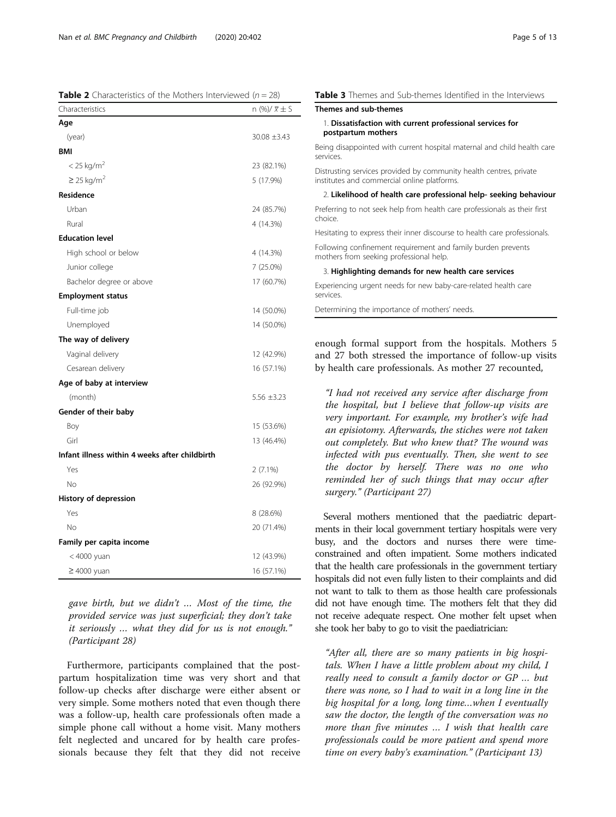<span id="page-4-0"></span>**Table 2** Characteristics of the Mothers Interviewed ( $n = 28$ )

| Characteristics                                | n (%)/ $\overline{x}$ $\pm$ S |
|------------------------------------------------|-------------------------------|
| Age                                            |                               |
| (year)                                         | 30.08 ±3.43                   |
| BMI                                            |                               |
| $<$ 25 kg/m <sup>2</sup>                       | 23 (82.1%)                    |
| $\geq$ 25 kg/m <sup>2</sup>                    | 5 (17.9%)                     |
| Residence                                      |                               |
| Urban                                          | 24 (85.7%)                    |
| Rural                                          | 4 (14.3%)                     |
| <b>Education level</b>                         |                               |
| High school or below                           | 4 (14.3%)                     |
| Junior college                                 | 7 (25.0%)                     |
| Bachelor degree or above                       | 17 (60.7%)                    |
| <b>Employment status</b>                       |                               |
| Full-time job                                  | 14 (50.0%)                    |
| Unemployed                                     | 14 (50.0%)                    |
| The way of delivery                            |                               |
| Vaginal delivery                               | 12 (42.9%)                    |
| Cesarean delivery                              | 16 (57.1%)                    |
| Age of baby at interview                       |                               |
| (month)                                        | $5.56 \pm 3.23$               |
| Gender of their baby                           |                               |
| Boy                                            | 15 (53.6%)                    |
| Girl                                           | 13 (46.4%)                    |
| Infant illness within 4 weeks after childbirth |                               |
| Yes                                            | $2(7.1\%)$                    |
| No                                             | 26 (92.9%)                    |
| History of depression                          |                               |
| Yes                                            | 8 (28.6%)                     |
| No                                             | 20 (71.4%)                    |
| Family per capita income                       |                               |
| < 4000 yuan                                    | 12 (43.9%)                    |
| $\geq 4000$ yuan                               | 16 (57.1%)                    |

gave birth, but we didn't … Most of the time, the provided service was just superficial; they don't take it seriously … what they did for us is not enough." (Participant 28)

Furthermore, participants complained that the postpartum hospitalization time was very short and that follow-up checks after discharge were either absent or very simple. Some mothers noted that even though there was a follow-up, health care professionals often made a simple phone call without a home visit. Many mothers felt neglected and uncared for by health care professionals because they felt that they did not receive

| <b>Table 3</b> Themes and Sub-themes Identified in the Interviews                                                 |  |
|-------------------------------------------------------------------------------------------------------------------|--|
| Themes and sub-themes                                                                                             |  |
| 1. Dissatisfaction with current professional services for<br>postpartum mothers                                   |  |
| Being disappointed with current hospital maternal and child health care<br>services.                              |  |
| Distrusting services provided by community health centres, private<br>institutes and commercial online platforms. |  |
| 2. Likelihood of health care professional help- seeking behaviour                                                 |  |
| Preferring to not seek help from health care professionals as their first<br>choice.                              |  |
| Hesitating to express their inner discourse to health care professionals.                                         |  |
| Following confinement requirement and family burden prevents<br>mothers from seeking professional help.           |  |

3. Highlighting demands for new health care services

Experiencing urgent needs for new baby-care-related health care services.

Determining the importance of mothers' needs.

enough formal support from the hospitals. Mothers 5 and 27 both stressed the importance of follow-up visits by health care professionals. As mother 27 recounted,

"I had not received any service after discharge from the hospital, but I believe that follow-up visits are very important. For example, my brother's wife had an episiotomy. Afterwards, the stiches were not taken out completely. But who knew that? The wound was infected with pus eventually. Then, she went to see the doctor by herself. There was no one who reminded her of such things that may occur after surgery." (Participant 27)

Several mothers mentioned that the paediatric departments in their local government tertiary hospitals were very busy, and the doctors and nurses there were timeconstrained and often impatient. Some mothers indicated that the health care professionals in the government tertiary hospitals did not even fully listen to their complaints and did not want to talk to them as those health care professionals did not have enough time. The mothers felt that they did not receive adequate respect. One mother felt upset when she took her baby to go to visit the paediatrician:

"After all, there are so many patients in big hospitals. When I have a little problem about my child, I really need to consult a family doctor or GP … but there was none, so I had to wait in a long line in the big hospital for a long, long time…when I eventually saw the doctor, the length of the conversation was no more than five minutes … I wish that health care professionals could be more patient and spend more time on every baby's examination." (Participant 13)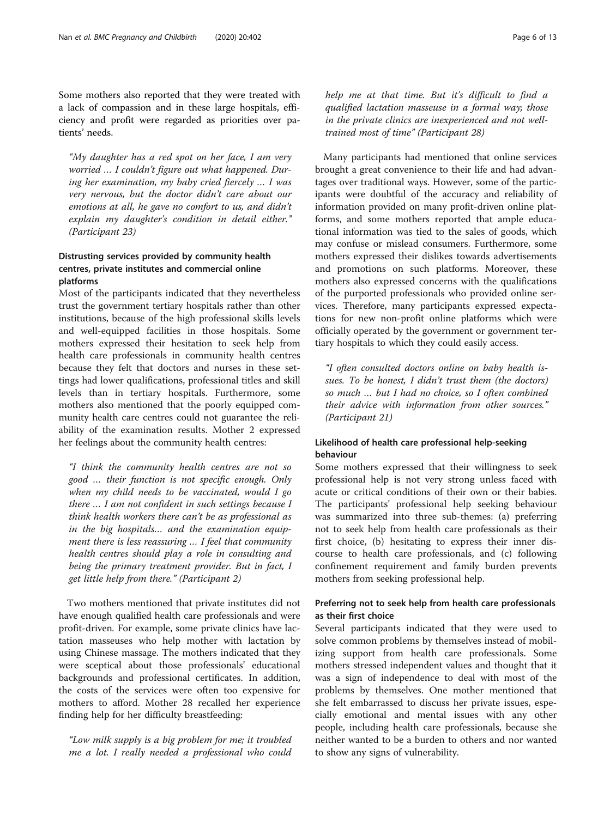Some mothers also reported that they were treated with a lack of compassion and in these large hospitals, efficiency and profit were regarded as priorities over patients' needs.

"My daughter has a red spot on her face, I am very worried … I couldn't figure out what happened. During her examination, my baby cried fiercely … I was very nervous, but the doctor didn't care about our emotions at all, he gave no comfort to us, and didn't explain my daughter's condition in detail either." (Participant 23)

# Distrusting services provided by community health centres, private institutes and commercial online platforms

Most of the participants indicated that they nevertheless trust the government tertiary hospitals rather than other institutions, because of the high professional skills levels and well-equipped facilities in those hospitals. Some mothers expressed their hesitation to seek help from health care professionals in community health centres because they felt that doctors and nurses in these settings had lower qualifications, professional titles and skill levels than in tertiary hospitals. Furthermore, some mothers also mentioned that the poorly equipped community health care centres could not guarantee the reliability of the examination results. Mother 2 expressed her feelings about the community health centres:

"I think the community health centres are not so good … their function is not specific enough. Only when my child needs to be vaccinated, would I go there … I am not confident in such settings because I think health workers there can't be as professional as in the big hospitals… and the examination equipment there is less reassuring … I feel that community health centres should play a role in consulting and being the primary treatment provider. But in fact, I get little help from there." (Participant 2)

Two mothers mentioned that private institutes did not have enough qualified health care professionals and were profit-driven. For example, some private clinics have lactation masseuses who help mother with lactation by using Chinese massage. The mothers indicated that they were sceptical about those professionals' educational backgrounds and professional certificates. In addition, the costs of the services were often too expensive for mothers to afford. Mother 28 recalled her experience finding help for her difficulty breastfeeding:

"Low milk supply is a big problem for me; it troubled me a lot. I really needed a professional who could help me at that time. But it's difficult to find a qualified lactation masseuse in a formal way; those in the private clinics are inexperienced and not welltrained most of time" (Participant 28)

Many participants had mentioned that online services brought a great convenience to their life and had advantages over traditional ways. However, some of the participants were doubtful of the accuracy and reliability of information provided on many profit-driven online platforms, and some mothers reported that ample educational information was tied to the sales of goods, which may confuse or mislead consumers. Furthermore, some mothers expressed their dislikes towards advertisements and promotions on such platforms. Moreover, these mothers also expressed concerns with the qualifications of the purported professionals who provided online services. Therefore, many participants expressed expectations for new non-profit online platforms which were officially operated by the government or government tertiary hospitals to which they could easily access.

"I often consulted doctors online on baby health issues. To be honest, I didn't trust them (the doctors) so much … but I had no choice, so I often combined their advice with information from other sources." (Participant 21)

# Likelihood of health care professional help-seeking behaviour

Some mothers expressed that their willingness to seek professional help is not very strong unless faced with acute or critical conditions of their own or their babies. The participants' professional help seeking behaviour was summarized into three sub-themes: (a) preferring not to seek help from health care professionals as their first choice, (b) hesitating to express their inner discourse to health care professionals, and (c) following confinement requirement and family burden prevents mothers from seeking professional help.

# Preferring not to seek help from health care professionals as their first choice

Several participants indicated that they were used to solve common problems by themselves instead of mobilizing support from health care professionals. Some mothers stressed independent values and thought that it was a sign of independence to deal with most of the problems by themselves. One mother mentioned that she felt embarrassed to discuss her private issues, especially emotional and mental issues with any other people, including health care professionals, because she neither wanted to be a burden to others and nor wanted to show any signs of vulnerability.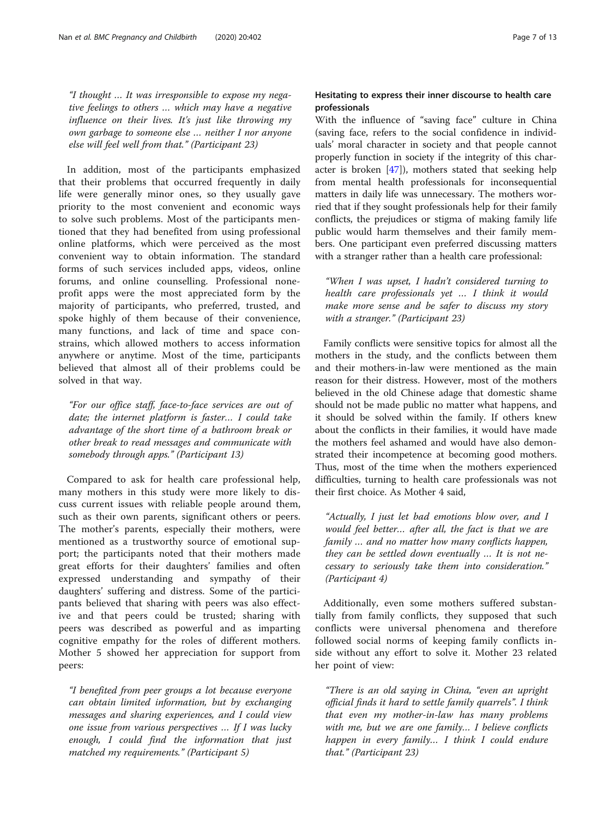"I thought … It was irresponsible to expose my negative feelings to others … which may have a negative influence on their lives. It's just like throwing my own garbage to someone else … neither I nor anyone else will feel well from that." (Participant 23)

In addition, most of the participants emphasized that their problems that occurred frequently in daily life were generally minor ones, so they usually gave priority to the most convenient and economic ways to solve such problems. Most of the participants mentioned that they had benefited from using professional online platforms, which were perceived as the most convenient way to obtain information. The standard forms of such services included apps, videos, online forums, and online counselling. Professional noneprofit apps were the most appreciated form by the majority of participants, who preferred, trusted, and spoke highly of them because of their convenience, many functions, and lack of time and space constrains, which allowed mothers to access information anywhere or anytime. Most of the time, participants believed that almost all of their problems could be solved in that way.

"For our office staff, face-to-face services are out of date; the internet platform is faster… I could take advantage of the short time of a bathroom break or other break to read messages and communicate with somebody through apps." (Participant 13)

Compared to ask for health care professional help, many mothers in this study were more likely to discuss current issues with reliable people around them, such as their own parents, significant others or peers. The mother's parents, especially their mothers, were mentioned as a trustworthy source of emotional support; the participants noted that their mothers made great efforts for their daughters' families and often expressed understanding and sympathy of their daughters' suffering and distress. Some of the participants believed that sharing with peers was also effective and that peers could be trusted; sharing with peers was described as powerful and as imparting cognitive empathy for the roles of different mothers. Mother 5 showed her appreciation for support from peers:

"I benefited from peer groups a lot because everyone can obtain limited information, but by exchanging messages and sharing experiences, and I could view one issue from various perspectives … If I was lucky enough, I could find the information that just matched my requirements." (Participant 5)

# Hesitating to express their inner discourse to health care professionals

With the influence of "saving face" culture in China (saving face, refers to the social confidence in individuals' moral character in society and that people cannot properly function in society if the integrity of this character is broken [\[47](#page-12-0)]), mothers stated that seeking help from mental health professionals for inconsequential matters in daily life was unnecessary. The mothers worried that if they sought professionals help for their family conflicts, the prejudices or stigma of making family life public would harm themselves and their family members. One participant even preferred discussing matters with a stranger rather than a health care professional:

"When I was upset, I hadn't considered turning to health care professionals yet … I think it would make more sense and be safer to discuss my story with a stranger." (Participant 23)

Family conflicts were sensitive topics for almost all the mothers in the study, and the conflicts between them and their mothers-in-law were mentioned as the main reason for their distress. However, most of the mothers believed in the old Chinese adage that domestic shame should not be made public no matter what happens, and it should be solved within the family. If others knew about the conflicts in their families, it would have made the mothers feel ashamed and would have also demonstrated their incompetence at becoming good mothers. Thus, most of the time when the mothers experienced difficulties, turning to health care professionals was not their first choice. As Mother 4 said,

"Actually, I just let bad emotions blow over, and I would feel better… after all, the fact is that we are family … and no matter how many conflicts happen, they can be settled down eventually … It is not necessary to seriously take them into consideration." (Participant 4)

Additionally, even some mothers suffered substantially from family conflicts, they supposed that such conflicts were universal phenomena and therefore followed social norms of keeping family conflicts inside without any effort to solve it. Mother 23 related her point of view:

"There is an old saying in China, "even an upright official finds it hard to settle family quarrels". I think that even my mother-in-law has many problems with me, but we are one family... I believe conflicts happen in every family… I think I could endure that." (Participant 23)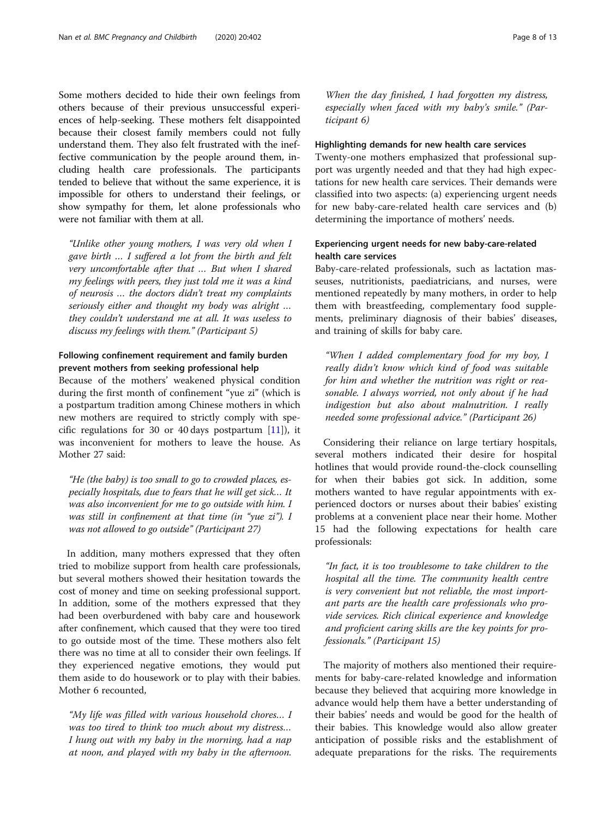Some mothers decided to hide their own feelings from others because of their previous unsuccessful experiences of help-seeking. These mothers felt disappointed because their closest family members could not fully understand them. They also felt frustrated with the ineffective communication by the people around them, including health care professionals. The participants tended to believe that without the same experience, it is impossible for others to understand their feelings, or show sympathy for them, let alone professionals who were not familiar with them at all.

"Unlike other young mothers, I was very old when I gave birth … I suffered a lot from the birth and felt very uncomfortable after that … But when I shared my feelings with peers, they just told me it was a kind of neurosis … the doctors didn't treat my complaints seriously either and thought my body was alright … they couldn't understand me at all. It was useless to discuss my feelings with them." (Participant 5)

# Following confinement requirement and family burden prevent mothers from seeking professional help

Because of the mothers' weakened physical condition during the first month of confinement "yue zi" (which is a postpartum tradition among Chinese mothers in which new mothers are required to strictly comply with specific regulations for 30 or 40 days postpartum  $[11]$  $[11]$ ), it was inconvenient for mothers to leave the house. As Mother 27 said:

"He (the baby) is too small to go to crowded places, especially hospitals, due to fears that he will get sick… It was also inconvenient for me to go outside with him. I was still in confinement at that time (in "yue zi"). I was not allowed to go outside" (Participant 27)

In addition, many mothers expressed that they often tried to mobilize support from health care professionals, but several mothers showed their hesitation towards the cost of money and time on seeking professional support. In addition, some of the mothers expressed that they had been overburdened with baby care and housework after confinement, which caused that they were too tired to go outside most of the time. These mothers also felt there was no time at all to consider their own feelings. If they experienced negative emotions, they would put them aside to do housework or to play with their babies. Mother 6 recounted,

"My life was filled with various household chores… I was too tired to think too much about my distress… I hung out with my baby in the morning, had a nap at noon, and played with my baby in the afternoon.

When the day finished, I had forgotten my distress, especially when faced with my baby's smile." (Participant 6)

## Highlighting demands for new health care services

Twenty-one mothers emphasized that professional support was urgently needed and that they had high expectations for new health care services. Their demands were classified into two aspects: (a) experiencing urgent needs for new baby-care-related health care services and (b) determining the importance of mothers' needs.

# Experiencing urgent needs for new baby-care-related health care services

Baby-care-related professionals, such as lactation masseuses, nutritionists, paediatricians, and nurses, were mentioned repeatedly by many mothers, in order to help them with breastfeeding, complementary food supplements, preliminary diagnosis of their babies' diseases, and training of skills for baby care.

"When I added complementary food for my boy, I really didn't know which kind of food was suitable for him and whether the nutrition was right or reasonable. I always worried, not only about if he had indigestion but also about malnutrition. I really needed some professional advice." (Participant 26)

Considering their reliance on large tertiary hospitals, several mothers indicated their desire for hospital hotlines that would provide round-the-clock counselling for when their babies got sick. In addition, some mothers wanted to have regular appointments with experienced doctors or nurses about their babies' existing problems at a convenient place near their home. Mother 15 had the following expectations for health care professionals:

"In fact, it is too troublesome to take children to the hospital all the time. The community health centre is very convenient but not reliable, the most important parts are the health care professionals who provide services. Rich clinical experience and knowledge and proficient caring skills are the key points for professionals." (Participant 15)

The majority of mothers also mentioned their requirements for baby-care-related knowledge and information because they believed that acquiring more knowledge in advance would help them have a better understanding of their babies' needs and would be good for the health of their babies. This knowledge would also allow greater anticipation of possible risks and the establishment of adequate preparations for the risks. The requirements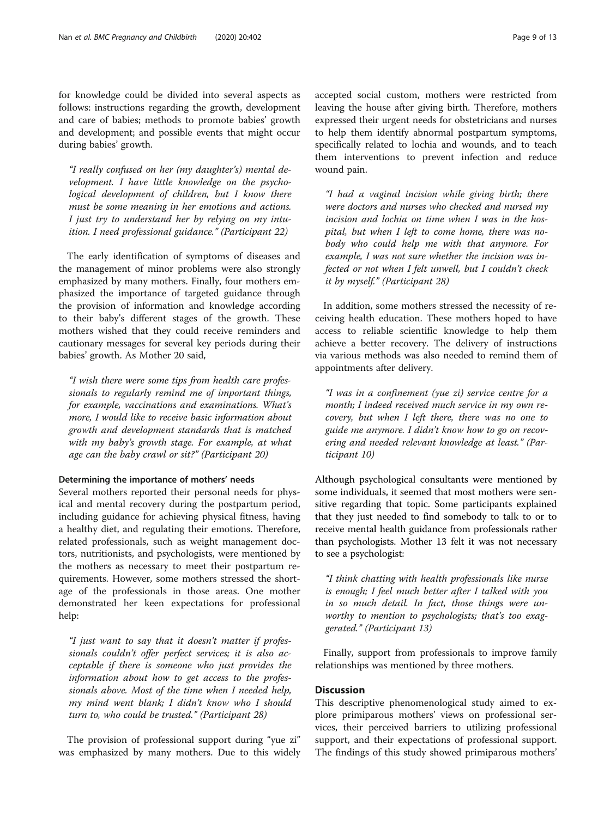"I really confused on her (my daughter's) mental development. I have little knowledge on the psychological development of children, but I know there must be some meaning in her emotions and actions. I just try to understand her by relying on my intuition. I need professional guidance." (Participant 22)

The early identification of symptoms of diseases and the management of minor problems were also strongly emphasized by many mothers. Finally, four mothers emphasized the importance of targeted guidance through the provision of information and knowledge according to their baby's different stages of the growth. These mothers wished that they could receive reminders and cautionary messages for several key periods during their babies' growth. As Mother 20 said,

"I wish there were some tips from health care professionals to regularly remind me of important things, for example, vaccinations and examinations. What's more, I would like to receive basic information about growth and development standards that is matched with my baby's growth stage. For example, at what age can the baby crawl or sit?" (Participant 20)

### Determining the importance of mothers' needs

Several mothers reported their personal needs for physical and mental recovery during the postpartum period, including guidance for achieving physical fitness, having a healthy diet, and regulating their emotions. Therefore, related professionals, such as weight management doctors, nutritionists, and psychologists, were mentioned by the mothers as necessary to meet their postpartum requirements. However, some mothers stressed the shortage of the professionals in those areas. One mother demonstrated her keen expectations for professional help:

"I just want to say that it doesn't matter if professionals couldn't offer perfect services; it is also acceptable if there is someone who just provides the information about how to get access to the professionals above. Most of the time when I needed help, my mind went blank; I didn't know who I should turn to, who could be trusted." (Participant 28)

The provision of professional support during "yue zi" was emphasized by many mothers. Due to this widely accepted social custom, mothers were restricted from leaving the house after giving birth. Therefore, mothers expressed their urgent needs for obstetricians and nurses to help them identify abnormal postpartum symptoms, specifically related to lochia and wounds, and to teach them interventions to prevent infection and reduce wound pain.

"I had a vaginal incision while giving birth; there were doctors and nurses who checked and nursed my incision and lochia on time when I was in the hospital, but when I left to come home, there was nobody who could help me with that anymore. For example, I was not sure whether the incision was infected or not when I felt unwell, but I couldn't check it by myself." (Participant 28)

In addition, some mothers stressed the necessity of receiving health education. These mothers hoped to have access to reliable scientific knowledge to help them achieve a better recovery. The delivery of instructions via various methods was also needed to remind them of appointments after delivery.

"I was in a confinement (yue zi) service centre for a month; I indeed received much service in my own recovery, but when I left there, there was no one to guide me anymore. I didn't know how to go on recovering and needed relevant knowledge at least." (Participant 10)

Although psychological consultants were mentioned by some individuals, it seemed that most mothers were sensitive regarding that topic. Some participants explained that they just needed to find somebody to talk to or to receive mental health guidance from professionals rather than psychologists. Mother 13 felt it was not necessary to see a psychologist:

"I think chatting with health professionals like nurse is enough; I feel much better after I talked with you in so much detail. In fact, those things were unworthy to mention to psychologists; that's too exaggerated." (Participant 13)

Finally, support from professionals to improve family relationships was mentioned by three mothers.

### Discussion

This descriptive phenomenological study aimed to explore primiparous mothers' views on professional services, their perceived barriers to utilizing professional support, and their expectations of professional support. The findings of this study showed primiparous mothers'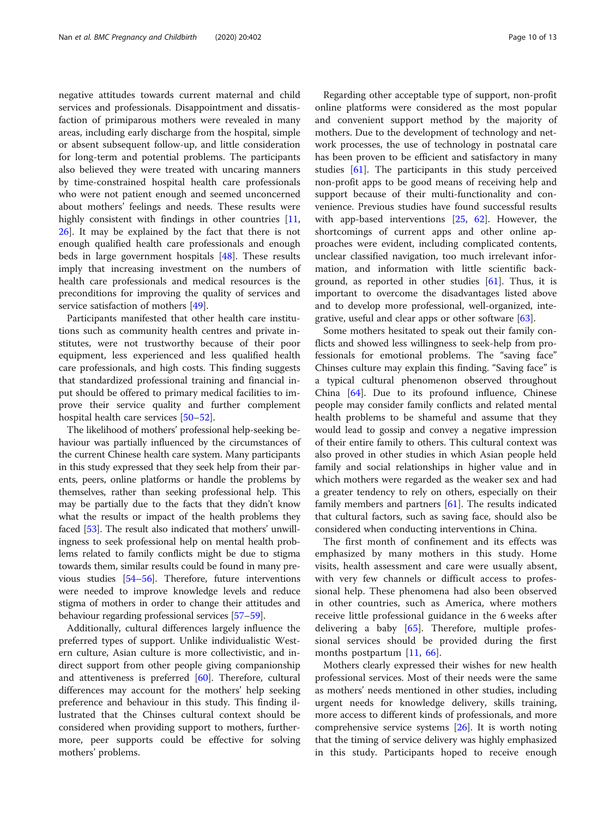negative attitudes towards current maternal and child services and professionals. Disappointment and dissatisfaction of primiparous mothers were revealed in many areas, including early discharge from the hospital, simple or absent subsequent follow-up, and little consideration for long-term and potential problems. The participants also believed they were treated with uncaring manners by time-constrained hospital health care professionals who were not patient enough and seemed unconcerned about mothers' feelings and needs. These results were highly consistent with findings in other countries [[11](#page-11-0), [26\]](#page-11-0). It may be explained by the fact that there is not enough qualified health care professionals and enough beds in large government hospitals [[48\]](#page-12-0). These results imply that increasing investment on the numbers of health care professionals and medical resources is the preconditions for improving the quality of services and service satisfaction of mothers [[49](#page-12-0)].

Participants manifested that other health care institutions such as community health centres and private institutes, were not trustworthy because of their poor equipment, less experienced and less qualified health care professionals, and high costs. This finding suggests that standardized professional training and financial input should be offered to primary medical facilities to improve their service quality and further complement hospital health care services [\[50](#page-12-0)–[52\]](#page-12-0).

The likelihood of mothers' professional help-seeking behaviour was partially influenced by the circumstances of the current Chinese health care system. Many participants in this study expressed that they seek help from their parents, peers, online platforms or handle the problems by themselves, rather than seeking professional help. This may be partially due to the facts that they didn't know what the results or impact of the health problems they faced [[53](#page-12-0)]. The result also indicated that mothers' unwillingness to seek professional help on mental health problems related to family conflicts might be due to stigma towards them, similar results could be found in many previous studies [[54](#page-12-0)–[56\]](#page-12-0). Therefore, future interventions were needed to improve knowledge levels and reduce stigma of mothers in order to change their attitudes and behaviour regarding professional services [\[57](#page-12-0)–[59\]](#page-12-0).

Additionally, cultural differences largely influence the preferred types of support. Unlike individualistic Western culture, Asian culture is more collectivistic, and indirect support from other people giving companionship and attentiveness is preferred  $[60]$  $[60]$ . Therefore, cultural differences may account for the mothers' help seeking preference and behaviour in this study. This finding illustrated that the Chinses cultural context should be considered when providing support to mothers, furthermore, peer supports could be effective for solving mothers' problems.

Regarding other acceptable type of support, non-profit online platforms were considered as the most popular and convenient support method by the majority of mothers. Due to the development of technology and network processes, the use of technology in postnatal care has been proven to be efficient and satisfactory in many studies [[61\]](#page-12-0). The participants in this study perceived non-profit apps to be good means of receiving help and support because of their multi-functionality and convenience. Previous studies have found successful results with app-based interventions [\[25](#page-11-0), [62\]](#page-12-0). However, the shortcomings of current apps and other online approaches were evident, including complicated contents, unclear classified navigation, too much irrelevant information, and information with little scientific background, as reported in other studies [\[61](#page-12-0)]. Thus, it is important to overcome the disadvantages listed above and to develop more professional, well-organized, integrative, useful and clear apps or other software [\[63\]](#page-12-0).

Some mothers hesitated to speak out their family conflicts and showed less willingness to seek-help from professionals for emotional problems. The "saving face" Chinses culture may explain this finding. "Saving face" is a typical cultural phenomenon observed throughout China [[64\]](#page-12-0). Due to its profound influence, Chinese people may consider family conflicts and related mental health problems to be shameful and assume that they would lead to gossip and convey a negative impression of their entire family to others. This cultural context was also proved in other studies in which Asian people held family and social relationships in higher value and in which mothers were regarded as the weaker sex and had a greater tendency to rely on others, especially on their family members and partners [[61\]](#page-12-0). The results indicated that cultural factors, such as saving face, should also be considered when conducting interventions in China.

The first month of confinement and its effects was emphasized by many mothers in this study. Home visits, health assessment and care were usually absent, with very few channels or difficult access to professional help. These phenomena had also been observed in other countries, such as America, where mothers receive little professional guidance in the 6 weeks after delivering a baby [\[65](#page-12-0)]. Therefore, multiple professional services should be provided during the first months postpartum [\[11](#page-11-0), [66\]](#page-12-0).

Mothers clearly expressed their wishes for new health professional services. Most of their needs were the same as mothers' needs mentioned in other studies, including urgent needs for knowledge delivery, skills training, more access to different kinds of professionals, and more comprehensive service systems [\[26\]](#page-11-0). It is worth noting that the timing of service delivery was highly emphasized in this study. Participants hoped to receive enough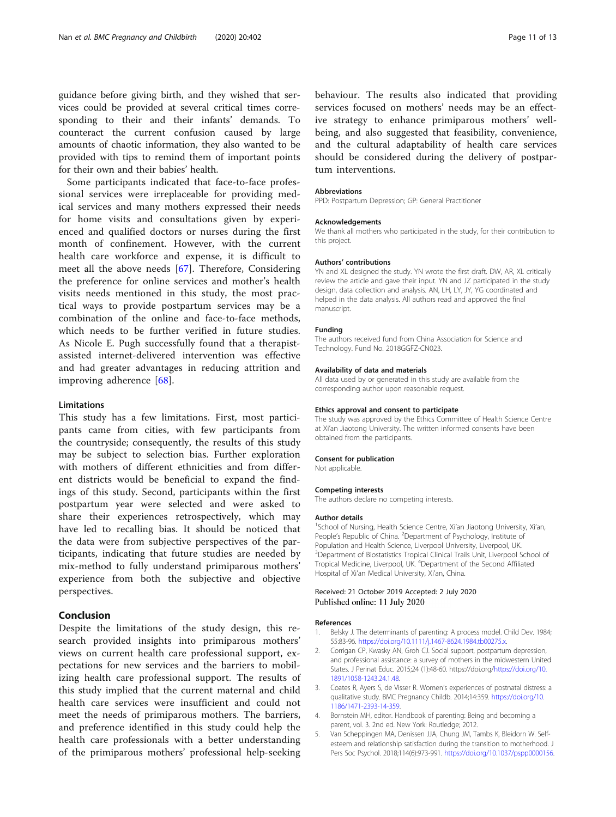<span id="page-10-0"></span>guidance before giving birth, and they wished that services could be provided at several critical times corresponding to their and their infants' demands. To counteract the current confusion caused by large amounts of chaotic information, they also wanted to be provided with tips to remind them of important points for their own and their babies' health.

Some participants indicated that face-to-face professional services were irreplaceable for providing medical services and many mothers expressed their needs for home visits and consultations given by experienced and qualified doctors or nurses during the first month of confinement. However, with the current health care workforce and expense, it is difficult to meet all the above needs [[67\]](#page-12-0). Therefore, Considering the preference for online services and mother's health visits needs mentioned in this study, the most practical ways to provide postpartum services may be a combination of the online and face-to-face methods, which needs to be further verified in future studies. As Nicole E. Pugh successfully found that a therapistassisted internet-delivered intervention was effective and had greater advantages in reducing attrition and improving adherence [[68\]](#page-12-0).

#### Limitations

This study has a few limitations. First, most participants came from cities, with few participants from the countryside; consequently, the results of this study may be subject to selection bias. Further exploration with mothers of different ethnicities and from different districts would be beneficial to expand the findings of this study. Second, participants within the first postpartum year were selected and were asked to share their experiences retrospectively, which may have led to recalling bias. It should be noticed that the data were from subjective perspectives of the participants, indicating that future studies are needed by mix-method to fully understand primiparous mothers' experience from both the subjective and objective perspectives.

### Conclusion

Despite the limitations of the study design, this research provided insights into primiparous mothers' views on current health care professional support, expectations for new services and the barriers to mobilizing health care professional support. The results of this study implied that the current maternal and child health care services were insufficient and could not meet the needs of primiparous mothers. The barriers, and preference identified in this study could help the health care professionals with a better understanding of the primiparous mothers' professional help-seeking

behaviour. The results also indicated that providing services focused on mothers' needs may be an effective strategy to enhance primiparous mothers' wellbeing, and also suggested that feasibility, convenience, and the cultural adaptability of health care services should be considered during the delivery of postpartum interventions.

#### Abbreviations

PPD: Postpartum Depression; GP: General Practitioner

#### Acknowledgements

We thank all mothers who participated in the study, for their contribution to this project.

#### Authors' contributions

YN and XL designed the study. YN wrote the first draft. DW, AR, XL critically review the article and gave their input. YN and JZ participated in the study design, data collection and analysis. AN, LH, LY, JY, YG coordinated and helped in the data analysis. All authors read and approved the final manuscript.

#### Funding

The authors received fund from China Association for Science and Technology. Fund No. 2018GGFZ-CN023.

#### Availability of data and materials

All data used by or generated in this study are available from the corresponding author upon reasonable request.

#### Ethics approval and consent to participate

The study was approved by the Ethics Committee of Health Science Centre at Xi'an Jiaotong University. The written informed consents have been obtained from the participants.

#### Consent for publication

Not applicable.

#### Competing interests

The authors declare no competing interests.

#### Author details

<sup>1</sup>School of Nursing, Health Science Centre, Xi'an Jiaotong University, Xi'an People's Republic of China. <sup>2</sup>Department of Psychology, Institute of Population and Health Science, Liverpool University, Liverpool, UK. <sup>3</sup>Department of Biostatistics Tropical Clinical Trails Unit, Liverpool School of Tropical Medicine, Liverpool, UK. <sup>4</sup>Department of the Second Affiliated Hospital of Xi'an Medical University, Xi'an, China.

#### Received: 21 October 2019 Accepted: 2 July 2020 Published online: 11 July 2020

#### References

- 1. Belsky J. The determinants of parenting: A process model. Child Dev. 1984; 55:83-96. <https://doi.org/10.1111/j.1467-8624.1984.tb00275.x>.
- 2. Corrigan CP, Kwasky AN, Groh CJ. Social support, postpartum depression, and professional assistance: a survey of mothers in the midwestern United States. J Perinat Educ. 2015;24 (1):48-60. https://doi.org/[https://doi.org/10.](https://doi.org/10.1891/1058-1243.24.1.48) [1891/1058-1243.24.1.48.](https://doi.org/10.1891/1058-1243.24.1.48)
- 3. Coates R, Ayers S, de Visser R. Women's experiences of postnatal distress: a qualitative study. BMC Pregnancy Childb. 2014;14:359. [https://doi.org/10.](https://doi.org/10.1186/1471-2393-14-359) [1186/1471-2393-14-359](https://doi.org/10.1186/1471-2393-14-359).
- 4. Bornstein MH, editor. Handbook of parenting: Being and becoming a parent, vol. 3. 2nd ed. New York: Routledge; 2012.
- 5. Van Scheppingen MA, Denissen JJA, Chung JM, Tambs K, Bleidorn W. Selfesteem and relationship satisfaction during the transition to motherhood. J Pers Soc Psychol. 2018;114(6):973-991. <https://doi.org/10.1037/pspp0000156>.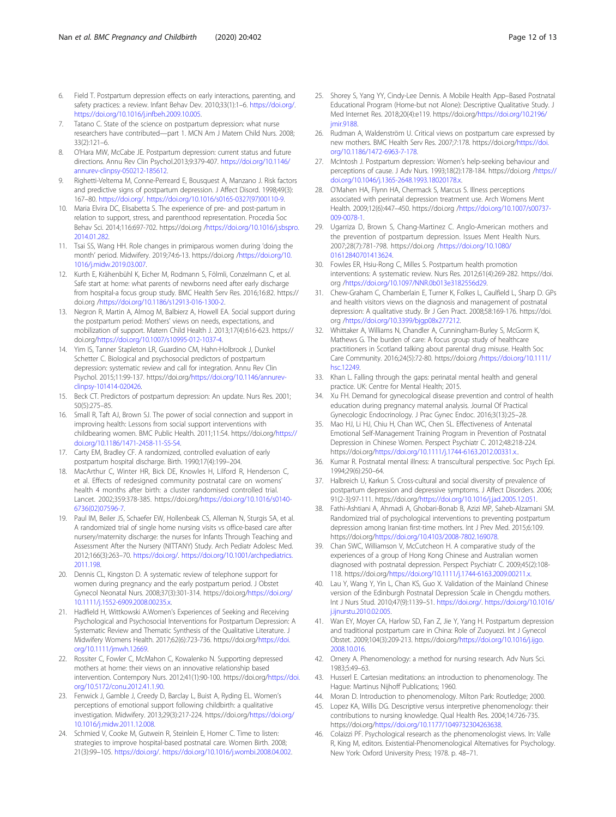- <span id="page-11-0"></span>6. Field T. Postpartum depression effects on early interactions, parenting, and safety practices: a review. Infant Behav Dev. 2010;33(1):1–6. [https://doi.org/.](https://doi.org/) <https://doi.org/10.1016/j.infbeh.2009.10.005>.
- 7. Tatano C. State of the science on postpartum depression: what nurse researchers have contributed—part 1. MCN Am J Matern Child Nurs. 2008; 33(2):121–6.
- O'Hara MW, McCabe JE. Postpartum depression: current status and future directions. Annu Rev Clin Psychol.2013;9:379-407. [https://doi.org/10.1146/](https://doi.org/10.1146/annurev-clinpsy-050212-185612) [annurev-clinpsy-050212-185612](https://doi.org/10.1146/annurev-clinpsy-050212-185612).
- 9. Righetti-Veltema M, Conne-Perreard E, Bousquest A, Manzano J. Risk factors and predictive signs of postpartum depression. J Affect Disord. 1998;49(3): 167–80. [https://doi.org/.](https://doi.org/) [https://doi.org/10.1016/s0165-0327\(97\)00110-9](https://doi.org/10.1016/s0165-0327(97)00110-9).
- 10. Maria Elvira DC, Elisabetta S. The experience of pre- and post-partum in relation to support, stress, and parenthood representation. Procedia Soc Behav Sci. 2014;116:697-702. https://doi.org /[https://doi.org/10.1016/j.sbspro.](https://doi.org/10.1016/j.sbspro.2014.01.282) [2014.01.282.](https://doi.org/10.1016/j.sbspro.2014.01.282)
- 11. Tsai SS, Wang HH. Role changes in primiparous women during 'doing the month' period. Midwifery. 2019;74:6-13. https://doi.org [/https://doi.org/10.](https://doi.org/10.1016/j.midw.2019.03.007) [1016/j.midw.2019.03.007.](https://doi.org/10.1016/j.midw.2019.03.007)
- 12. Kurth E, Krähenbühl K, Eicher M, Rodmann S, Fölmli, Conzelmann C, et al. Safe start at home: what parents of newborns need after early discharge from hospital-a focus group study. BMC Health Serv Res. 2016;16:82. https:// doi.org [/https://doi.org/10.1186/s12913-016-1300-2.](https://doi.org/10.1186/s12913-016-1300-2)
- 13. Negron R, Martin A, Almog M, Balbierz A, Howell EA. Social support during the postpartum period: Mothers' views on needs, expectations, and mobilization of support. Matern Child Health J. 2013;17(4):616-623. https:// doi.org[/https://doi.org/10.1007/s10995-012-1037-4.](https://doi.org/10.1007/s10995-012-1037-4)
- 14. Yim IS, Tanner Stapleton LR, Guardino CM, Hahn-Holbrook J, Dunkel Schetter C. Biological and psychosocial predictors of postpartum depression: systematic review and call for integration. Annu Rev Clin Psychol. 2015;11:99-137. https://doi.org/[https://doi.org/10.1146/annurev](https://doi.org/10.1146/annurev-clinpsy-101414-020426)[clinpsy-101414-020426](https://doi.org/10.1146/annurev-clinpsy-101414-020426).
- 15. Beck CT. Predictors of postpartum depression: An update. Nurs Res. 2001; 50(5):275–85.
- 16. Small R, Taft AJ, Brown SJ. The power of social connection and support in improving health: Lessons from social support interventions with childbearing women. BMC Public Health. 2011;11:S4. https://doi.org/[https://](https://doi.org/10.1186/1471-2458-11-S5-S4) [doi.org/10.1186/1471-2458-11-S5-S4](https://doi.org/10.1186/1471-2458-11-S5-S4).
- 17. Carty EM, Bradley CF. A randomized, controlled evaluation of early postpartum hospital discharge. Birth. 1990;17(4):199–204.
- 18. MacArthur C, Winter HR, Bick DE, Knowles H, Lilford R, Henderson C, et al. Effects of redesigned community postnatal care on womens' health 4 months after birth: a cluster randomised controlled trial. Lancet. 2002;359:378-385. https://doi.org[/https://doi.org/10.1016/s0140-](https://doi.org/10.1016/s0140-6736(02)07596-7) [6736\(02\)07596-7.](https://doi.org/10.1016/s0140-6736(02)07596-7)
- 19. Paul IM, Beiler JS, Schaefer EW, Hollenbeak CS, Alleman N, Sturgis SA, et al. A randomized trial of single home nursing visits vs office-based care after nursery/maternity discharge: the nurses for Infants Through Teaching and Assessment After the Nursery (NITTANY) Study. Arch Pediatr Adolesc Med. 2012;166(3):263–70. <https://doi.org/>. [https://doi.org/10.1001/archpediatrics.](https://doi.org/10.1001/archpediatrics.2011.198) [2011.198.](https://doi.org/10.1001/archpediatrics.2011.198)
- 20. Dennis CL, Kingston D. A systematic review of telephone support for women during pregnancy and the early postpartum period. J Obstet Gynecol Neonatal Nurs. 2008;37(3):301-314. https://doi.org/[https://doi.org/](https://doi.org/10.1111/j.1552-6909.2008.00235.x) [10.1111/j.1552-6909.2008.00235.x](https://doi.org/10.1111/j.1552-6909.2008.00235.x).
- 21. Hadfield H, Wittkowski A.Women's Experiences of Seeking and Receiving Psychological and Psychosocial Interventions for Postpartum Depression: A Systematic Review and Thematic Synthesis of the Qualitative Literature. J Midwifery Womens Health. 2017;62(6):723-736. https://doi.org/[https://doi.](https://doi.org/10.1111/jmwh.12669) [org/10.1111/jmwh.12669](https://doi.org/10.1111/jmwh.12669).
- 22. Rossiter C, Fowler C, McMahon C, Kowalenko N. Supporting depressed mothers at home: their views on an innovative relationship based intervention. Contempory Nurs. 2012;41(1):90-100. https://doi.org[/https://doi.](https://doi.org/10.5172/conu.2012.41.1.90) [org/10.5172/conu.2012.41.1.90.](https://doi.org/10.5172/conu.2012.41.1.90)
- 23. Fenwick J, Gamble J, Creedy D, Barclay L, Buist A, Ryding EL. Women's perceptions of emotional support following childbirth: a qualitative investigation. Midwifery. 2013;29(3):217-224. https://doi.org/[https://doi.org/](https://doi.org/10.1016/j.midw.2011.12.008) [10.1016/j.midw.2011.12.008.](https://doi.org/10.1016/j.midw.2011.12.008)
- 24. Schmied V, Cooke M, Gutwein R, Steinlein E, Homer C. Time to listen: strategies to improve hospital-based postnatal care. Women Birth. 2008; 21(3):99–105. [https://doi.org/.](https://doi.org/) <https://doi.org/10.1016/j.wombi.2008.04.002>.
- 25. Shorey S, Yang YY, Cindy-Lee Dennis. A Mobile Health App–Based Postnatal Educational Program (Home-but not Alone): Descriptive Qualitative Study. J Med Internet Res. 2018;20(4):e119. https://doi.org/[https://doi.org/10.2196/](https://doi.org/10.2196/jmir.9188) imir.9188.
- 26. Rudman A, Waldenström U. Critical views on postpartum care expressed by new mothers. BMC Health Serv Res. 2007;7:178. https://doi.org/[https://doi.](https://doi.org/10.1186/1472-6963-7-178) [org/10.1186/1472-6963-7-178](https://doi.org/10.1186/1472-6963-7-178).
- 27. McIntosh J. Postpartum depression: Women's help-seeking behaviour and perceptions of cause. J Adv Nurs. 1993;18(2):178-184. https://doi.org /[https://](https://doi.org/10.1046/j.1365-2648.1993.18020178.x) [doi.org/10.1046/j.1365-2648.1993.18020178.x.](https://doi.org/10.1046/j.1365-2648.1993.18020178.x)
- 28. O'Mahen HA, Flynn HA, Chermack S, Marcus S. Illness perceptions associated with perinatal depression treatment use. Arch Womens Ment Health. 2009;12(6):447–450. https://doi.org [/https://doi.org/10.1007/s00737-](https://doi.org/10.1007/s00737-009-0078-1) [009-0078-1](https://doi.org/10.1007/s00737-009-0078-1).
- 29. Ugarriza D, Brown S, Chang-Martinez C. Anglo-American mothers and the prevention of postpartum depression. Issues Ment Health Nurs. 2007;28(7):781-798. https://doi.org [/https://doi.org/10.1080/](https://doi.org/10.1080/01612840701413624) [01612840701413624](https://doi.org/10.1080/01612840701413624).
- 30. Fowles ER, Hsiu-Rong C, Milles S. Postpartum health promotion interventions: A systematic review. Nurs Res. 2012;61(4):269-282. https://doi. org [/https://doi.org/10.1097/NNR.0b013e3182556d29.](https://doi.org/10.1097/NNR.0b013e3182556d29)
- 31. Chew-Graham C, Chamberlain E, Turner K, Folkes L, Caulfield L, Sharp D. GPs and health visitors views on the diagnosis and management of postnatal depression: A qualitative study. Br J Gen Pract. 2008;58:169-176. https://doi. org [/https://doi.org/10.3399/bjgp08x277212.](https://doi.org/10.3399/bjgp08x277212)
- 32. Whittaker A, Williams N, Chandler A, Cunningham-Burley S, McGorm K, Mathews G. The burden of care: A focus group study of healthcare practitioners in Scotland talking about parental drug misuse. Health Soc Care Community. 2016;24(5):72-80. https://doi.org /[https://doi.org/10.1111/](https://doi.org/10.1111/hsc.12249) [hsc.12249](https://doi.org/10.1111/hsc.12249).
- 33. Khan L. Falling through the gaps: perinatal mental health and general practice. UK: Centre for Mental Health; 2015.
- 34. Xu FH. Demand for gynecological disease prevention and control of health education during pregnancy maternal analysis. Journal Of Practical Gynecologic Endocrinology. J Prac Gynec Endoc. 2016;3(13):25–28.
- 35. Mao HJ, Li HJ, Chiu H, Chan WC, Chen SL. Effectiveness of Antenatal Emotional Self-Management Training Program in Prevention of Postnatal Depression in Chinese Women. Perspect Psychiatr C. 2012;48:218-224. https://doi.org/[https://doi.org/10.1111/j.1744-6163.2012.00331.x..](https://doi.org/10.1111/j.1744-6163.2012.00331.x.)
- 36. Kumar R. Postnatal mental illness: A transcultural perspective. Soc Psych Epi. 1994;29(6):250–64.
- 37. Halbreich U, Karkun S. Cross-cultural and social diversity of prevalence of postpartum depression and depressive symptoms. J Affect Disorders. 2006; 91(2-3):97-111. https://doi.org/[https://doi.org/10.1016/j.jad.2005.12.051.](https://doi.org/10.1016/j.jad.2005.12.051)
- 38. Fathi-Ashtiani A, Ahmadi A, Ghobari-Bonab B, Azizi MP, Saheb-Alzamani SM. Randomized trial of psychological interventions to preventing postpartum depression among Iranian first-time mothers. Int J Prev Med. 2015;6:109. https://doi.org/<https://doi.org/10.4103/2008-7802.169078>.
- 39. Chan SWC, Williamson V, McCutcheon H. A comparative study of the experiences of a group of Hong Kong Chinese and Australian women diagnosed with postnatal depression. Perspect Psychiatr C. 2009;45(2):108- 118. https://doi.org[/https://doi.org/10.1111/j.1744-6163.2009.00211.x.](https://doi.org/10.1111/j.1744-6163.2009.00211.x)
- 40. Lau Y, Wang Y, Yin L, Chan KS, Guo X. Validation of the Mainland Chinese version of the Edinburgh Postnatal Depression Scale in Chengdu mothers. Int J Nurs Stud. 2010;47(9):1139–51. [https://doi.org/.](https://doi.org/) [https://doi.org/10.1016/](https://doi.org/10.1016/j.ijnurstu.2010.02.005) [j.ijnurstu.2010.02.005.](https://doi.org/10.1016/j.ijnurstu.2010.02.005)
- 41. Wan EY, Moyer CA, Harlow SD, Fan Z, Jie Y, Yang H. Postpartum depression and traditional postpartum care in China: Role of Zuoyuezi. Int J Gynecol Obstet. 2009;104(3):209-213. https://doi.org[/https://doi.org/10.1016/j.ijgo.](https://doi.org/10.1016/j.ijgo.2008.10.016) [2008.10.016.](https://doi.org/10.1016/j.ijgo.2008.10.016)
- 42. Ornery A. Phenomenology: a method for nursing research. Adv Nurs Sci. 1983;5:49–63.
- 43. Husserl E. Cartesian meditations: an introduction to phenomenology. The Hague: Martinus Nijhoff Publications; 1960.
- 44. Moran D. Introduction to phenomenology. Milton Park: Routledge; 2000.
- 45. Lopez KA, Willis DG. Descriptive versus interpretive phenomenology: their contributions to nursing knowledge. Qual Health Res. 2004;14:726-735. https://doi.org/[https://doi.org/10.1177/1049732304263638.](https://doi.org/10.1177/1049732304263638)
- 46. Colaizzi PF. Psychological research as the phenomenologist views. In: Valle R, King M, editors. Existential-Phenomenological Alternatives for Psychology. New York: Oxford University Press; 1978. p. 48–71.